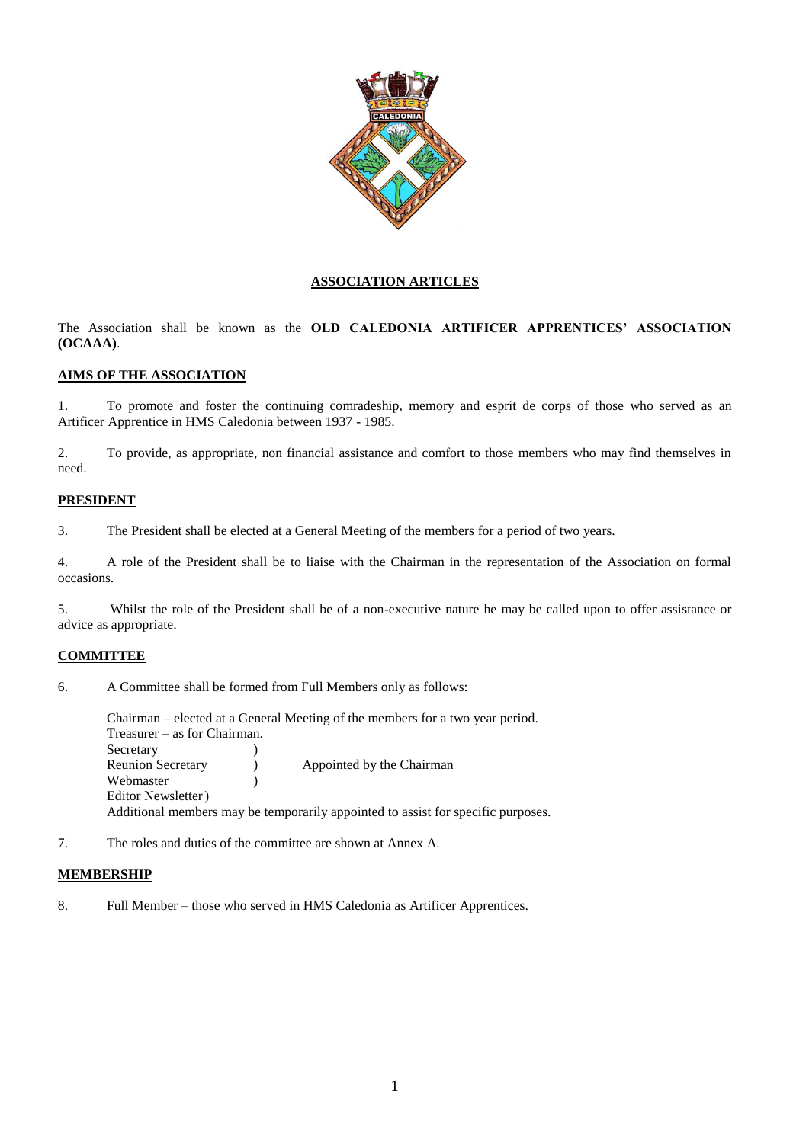

# **ASSOCIATION ARTICLES**

The Association shall be known as the **OLD CALEDONIA ARTIFICER APPRENTICES' ASSOCIATION (OCAAA)**.

# **AIMS OF THE ASSOCIATION**

1. To promote and foster the continuing comradeship, memory and esprit de corps of those who served as an Artificer Apprentice in HMS Caledonia between 1937 - 1985.

2. To provide, as appropriate, non financial assistance and comfort to those members who may find themselves in need.

# **PRESIDENT**

3. The President shall be elected at a General Meeting of the members for a period of two years.

4. A role of the President shall be to liaise with the Chairman in the representation of the Association on formal occasions.

5. Whilst the role of the President shall be of a non-executive nature he may be called upon to offer assistance or advice as appropriate.

# **COMMITTEE**

6. A Committee shall be formed from Full Members only as follows:

Chairman – elected at a General Meeting of the members for a two year period. Treasurer – as for Chairman. Secretary (1) Reunion Secretary (a) Appointed by the Chairman Webmaster (1) Editor Newsletter) Additional members may be temporarily appointed to assist for specific purposes.

7. The roles and duties of the committee are shown at Annex A.

### **MEMBERSHIP**

8. Full Member – those who served in HMS Caledonia as Artificer Apprentices.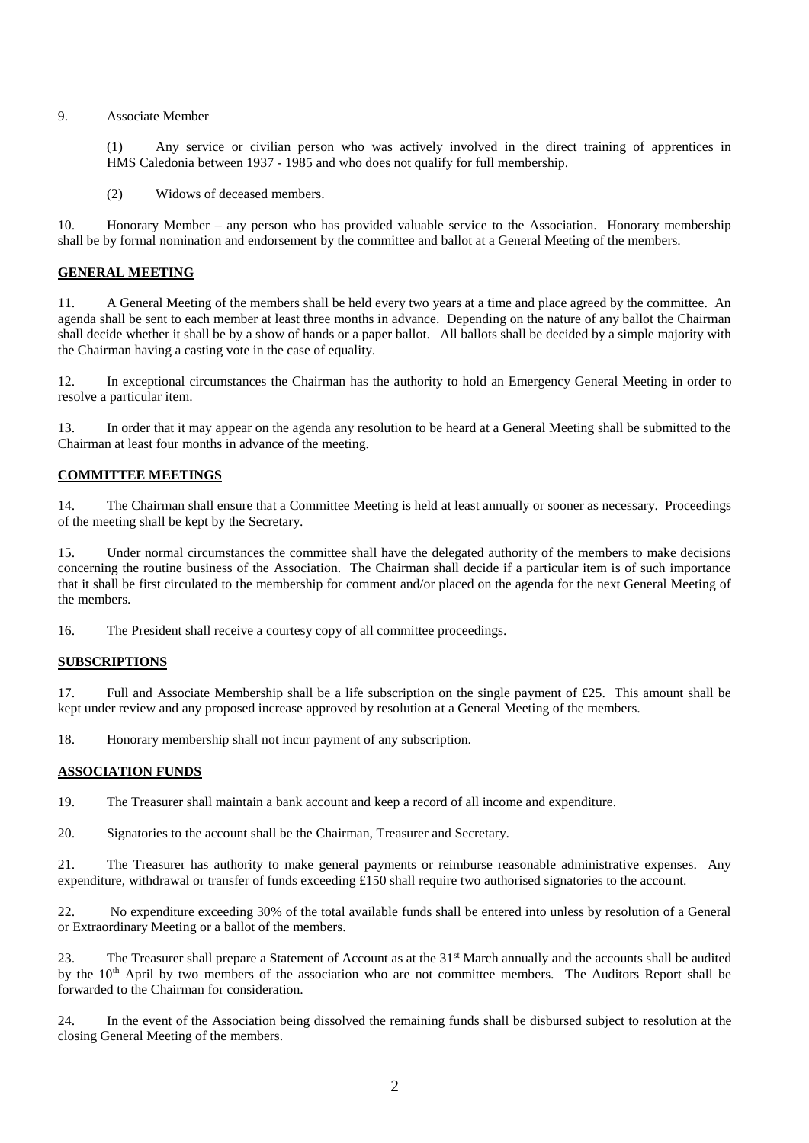#### 9. Associate Member

(1) Any service or civilian person who was actively involved in the direct training of apprentices in HMS Caledonia between 1937 - 1985 and who does not qualify for full membership.

(2) Widows of deceased members.

10. Honorary Member – any person who has provided valuable service to the Association. Honorary membership shall be by formal nomination and endorsement by the committee and ballot at a General Meeting of the members.

### **GENERAL MEETING**

11. A General Meeting of the members shall be held every two years at a time and place agreed by the committee. An agenda shall be sent to each member at least three months in advance. Depending on the nature of any ballot the Chairman shall decide whether it shall be by a show of hands or a paper ballot. All ballots shall be decided by a simple majority with the Chairman having a casting vote in the case of equality.

12. In exceptional circumstances the Chairman has the authority to hold an Emergency General Meeting in order to resolve a particular item.

13. In order that it may appear on the agenda any resolution to be heard at a General Meeting shall be submitted to the Chairman at least four months in advance of the meeting.

### **COMMITTEE MEETINGS**

14. The Chairman shall ensure that a Committee Meeting is held at least annually or sooner as necessary. Proceedings of the meeting shall be kept by the Secretary.

15. Under normal circumstances the committee shall have the delegated authority of the members to make decisions concerning the routine business of the Association. The Chairman shall decide if a particular item is of such importance that it shall be first circulated to the membership for comment and/or placed on the agenda for the next General Meeting of the members.

16. The President shall receive a courtesy copy of all committee proceedings.

### **SUBSCRIPTIONS**

17. Full and Associate Membership shall be a life subscription on the single payment of £25. This amount shall be kept under review and any proposed increase approved by resolution at a General Meeting of the members.

18. Honorary membership shall not incur payment of any subscription.

### **ASSOCIATION FUNDS**

19. The Treasurer shall maintain a bank account and keep a record of all income and expenditure.

20. Signatories to the account shall be the Chairman, Treasurer and Secretary.

21. The Treasurer has authority to make general payments or reimburse reasonable administrative expenses. Any expenditure, withdrawal or transfer of funds exceeding £150 shall require two authorised signatories to the account.

22. No expenditure exceeding 30% of the total available funds shall be entered into unless by resolution of a General or Extraordinary Meeting or a ballot of the members.

23. The Treasurer shall prepare a Statement of Account as at the 31<sup>st</sup> March annually and the accounts shall be audited by the 10<sup>th</sup> April by two members of the association who are not committee members. The Auditors Report shall be forwarded to the Chairman for consideration.

24. In the event of the Association being dissolved the remaining funds shall be disbursed subject to resolution at the closing General Meeting of the members.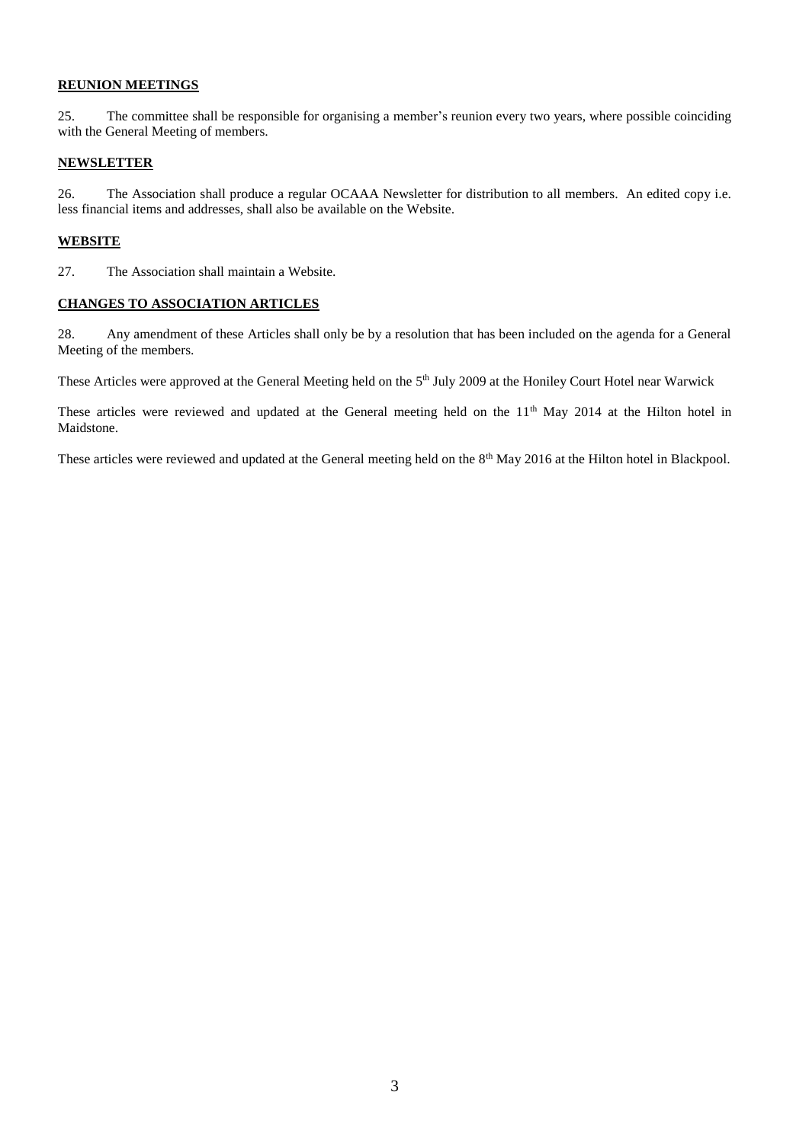# **REUNION MEETINGS**

25. The committee shall be responsible for organising a member's reunion every two years, where possible coinciding with the General Meeting of members.

### **NEWSLETTER**

26. The Association shall produce a regular OCAAA Newsletter for distribution to all members. An edited copy i.e. less financial items and addresses, shall also be available on the Website.

# **WEBSITE**

27. The Association shall maintain a Website.

# **CHANGES TO ASSOCIATION ARTICLES**

28. Any amendment of these Articles shall only be by a resolution that has been included on the agenda for a General Meeting of the members.

These Articles were approved at the General Meeting held on the 5<sup>th</sup> July 2009 at the Honiley Court Hotel near Warwick

These articles were reviewed and updated at the General meeting held on the 11<sup>th</sup> May 2014 at the Hilton hotel in Maidstone.

These articles were reviewed and updated at the General meeting held on the 8<sup>th</sup> May 2016 at the Hilton hotel in Blackpool.